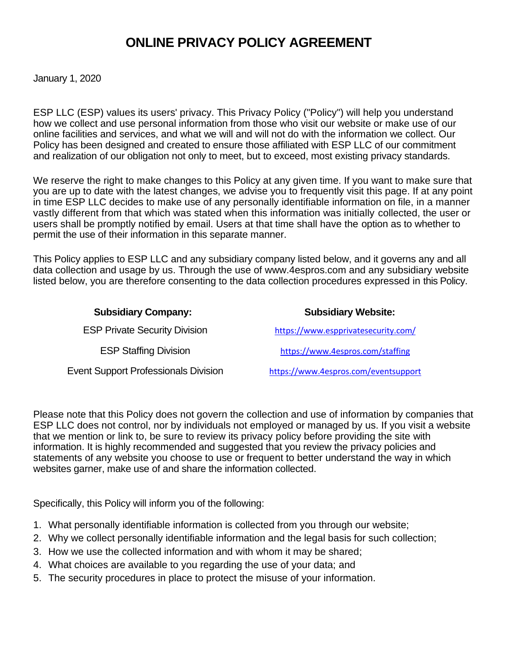# **ONLINE PRIVACY POLICY AGREEMENT**

January 1, 2020

ESP LLC (ESP) values its users' privacy. This Privacy Policy ("Policy") will help you understand how we collect and use personal information from those who visit our website or make use of our online facilities and services, and what we will and will not do with the information we collect. Our Policy has been designed and created to ensure those affiliated with ESP LLC of our commitment and realization of our obligation not only to meet, but to exceed, most existing privacy standards.

We reserve the right to make changes to this Policy at any given time. If you want to make sure that you are up to date with the latest changes, we advise you to frequently visit this page. If at any point in time ESP LLC decides to make use of any personally identifiable information on file, in a manner vastly different from that which was stated when this information was initially collected, the user or users shall be promptly notified by email. Users at that time shall have the option as to whether to permit the use of their information in this separate manner.

This Policy applies to ESP LLC and any subsidiary company listed below, and it governs any and all data collection and usage by us. Through the use of www.4espros.com and any subsidiary website listed below, you are therefore consenting to the data collection procedures expressed in this Policy.

| <b>Subsidiary Company:</b>                  | <b>Subsidiary Website:</b>           |
|---------------------------------------------|--------------------------------------|
| <b>ESP Private Security Division</b>        | https://www.espprivatesecurity.com/  |
| <b>ESP Staffing Division</b>                | https://www.4espros.com/staffing     |
| <b>Event Support Professionals Division</b> | https://www.4espros.com/eventsupport |

Please note that this Policy does not govern the collection and use of information by companies that ESP LLC does not control, nor by individuals not employed or managed by us. If you visit a website that we mention or link to, be sure to review its privacy policy before providing the site with information. It is highly recommended and suggested that you review the privacy policies and statements of any website you choose to use or frequent to better understand the way in which websites garner, make use of and share the information collected.

Specifically, this Policy will inform you of the following:

- 1. What personally identifiable information is collected from you through our website;
- 2. Why we collect personally identifiable information and the legal basis for such collection;
- 3. How we use the collected information and with whom it may be shared;
- 4. What choices are available to you regarding the use of your data; and
- 5. The security procedures in place to protect the misuse of your information.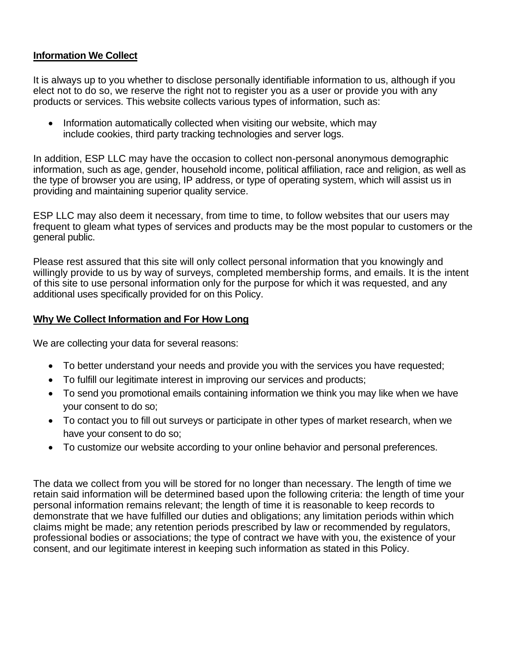## **Information We Collect**

It is always up to you whether to disclose personally identifiable information to us, although if you elect not to do so, we reserve the right not to register you as a user or provide you with any products or services. This website collects various types of information, such as:

• Information automatically collected when visiting our website, which may include cookies, third party tracking technologies and server logs.

In addition, ESP LLC may have the occasion to collect non-personal anonymous demographic information, such as age, gender, household income, political affiliation, race and religion, as well as the type of browser you are using, IP address, or type of operating system, which will assist us in providing and maintaining superior quality service.

ESP LLC may also deem it necessary, from time to time, to follow websites that our users may frequent to gleam what types of services and products may be the most popular to customers or the general public.

Please rest assured that this site will only collect personal information that you knowingly and willingly provide to us by way of surveys, completed membership forms, and emails. It is the intent of this site to use personal information only for the purpose for which it was requested, and any additional uses specifically provided for on this Policy.

#### **Why We Collect Information and For How Long**

We are collecting your data for several reasons:

- To better understand your needs and provide you with the services you have requested;
- To fulfill our legitimate interest in improving our services and products;
- To send you promotional emails containing information we think you may like when we have your consent to do so;
- To contact you to fill out surveys or participate in other types of market research, when we have your consent to do so;
- To customize our website according to your online behavior and personal preferences.

The data we collect from you will be stored for no longer than necessary. The length of time we retain said information will be determined based upon the following criteria: the length of time your personal information remains relevant; the length of time it is reasonable to keep records to demonstrate that we have fulfilled our duties and obligations; any limitation periods within which claims might be made; any retention periods prescribed by law or recommended by regulators, professional bodies or associations; the type of contract we have with you, the existence of your consent, and our legitimate interest in keeping such information as stated in this Policy.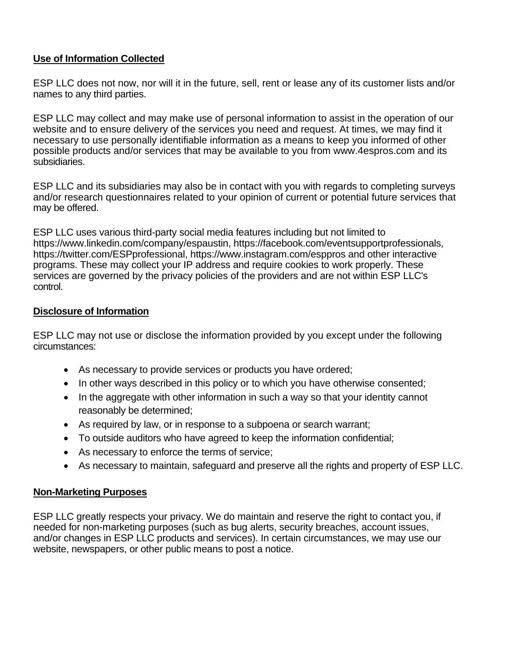# **Use of Information Collected**

ESP LLC does not now, nor will it in the future, sell, rent or lease any of its customer lists and/or names to any third parties.

ESP LLC may collect and may make use of personal information to assist in the operation of our website and to ensure delivery of the services you need and request. At times, we may find it necessary to use personally identifiable information as a means to keep you informed of other possible products and/or services that may be available to you from www.4espros.com and its subsidiaries.

ESP LLC and its subsidiaries may also be in contact with you with regards to completing surveys and/or research questionnaires related to your opinion of current or potential future services that may be offered.

ESP LLC uses various third-party social media features including but not limited to https://www.linkedin.com/company/espaustin, https://facebook.com/eventsupportprofessionals, https://twitter.com/ESPprofessional, https://www.instagram.com/esppros and other interactive programs. These may collect your IP address and require cookies to work properly. These services are governed by the privacy policies of the providers and are not within ESP LLC's control.

## **Disclosure of Information**

ESP LLC may not use or disclose the information provided by you except under the following circumstances:

- As necessary to provide services or products you have ordered;
- In other ways described in this policy or to which you have otherwise consented;
- In the aggregate with other information in such a way so that your identity cannot reasonably be determined;
- As required by law, or in response to a subpoena or search warrant;
- To outside auditors who have agreed to keep the information confidential;
- As necessary to enforce the terms of service;
- As necessary to maintain, safeguard and preserve all the rights and property of ESP LLC.

#### **Non-Marketing Purposes**

ESP LLC greatly respects your privacy. We do maintain and reserve the right to contact you, if needed for non-marketing purposes (such as bug alerts, security breaches, account issues, and/or changes in ESP LLC products and services). In certain circumstances, we may use our website, newspapers, or other public means to post a notice.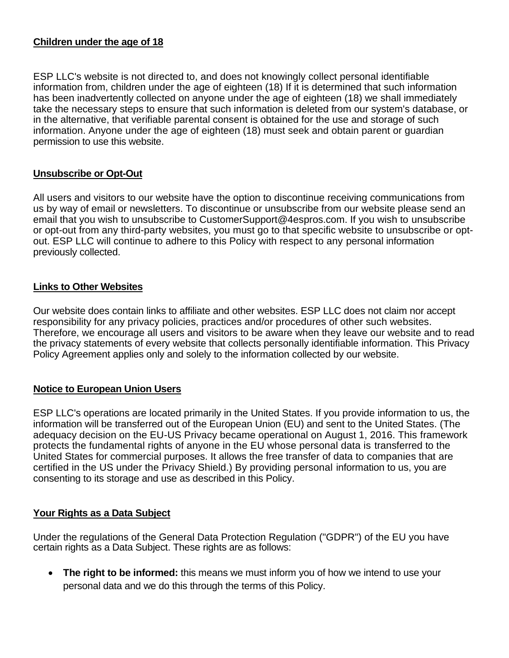#### **Children under the age of 18**

ESP LLC's website is not directed to, and does not knowingly collect personal identifiable information from, children under the age of eighteen (18) If it is determined that such information has been inadvertently collected on anyone under the age of eighteen (18) we shall immediately take the necessary steps to ensure that such information is deleted from our system's database, or in the alternative, that verifiable parental consent is obtained for the use and storage of such information. Anyone under the age of eighteen (18) must seek and obtain parent or guardian permission to use this website.

#### **Unsubscribe or Opt-Out**

All users and visitors to our website have the option to discontinue receiving communications from us by way of email or newsletters. To discontinue or unsubscribe from our website please send an email that you wish to unsubscribe to CustomerSupport@4espros.com. If you wish to unsubscribe or opt-out from any third-party websites, you must go to that specific website to unsubscribe or optout. ESP LLC will continue to adhere to this Policy with respect to any personal information previously collected.

#### **Links to Other Websites**

Our website does contain links to affiliate and other websites. ESP LLC does not claim nor accept responsibility for any privacy policies, practices and/or procedures of other such websites. Therefore, we encourage all users and visitors to be aware when they leave our website and to read the privacy statements of every website that collects personally identifiable information. This Privacy Policy Agreement applies only and solely to the information collected by our website.

#### **Notice to European Union Users**

ESP LLC's operations are located primarily in the United States. If you provide information to us, the information will be transferred out of the European Union (EU) and sent to the United States. (The adequacy decision on the EU-US Privacy became operational on August 1, 2016. This framework protects the fundamental rights of anyone in the EU whose personal data is transferred to the United States for commercial purposes. It allows the free transfer of data to companies that are certified in the US under the Privacy Shield.) By providing personal information to us, you are consenting to its storage and use as described in this Policy.

#### **Your Rights as a Data Subject**

Under the regulations of the General Data Protection Regulation ("GDPR") of the EU you have certain rights as a Data Subject. These rights are as follows:

• **The right to be informed:** this means we must inform you of how we intend to use your personal data and we do this through the terms of this Policy.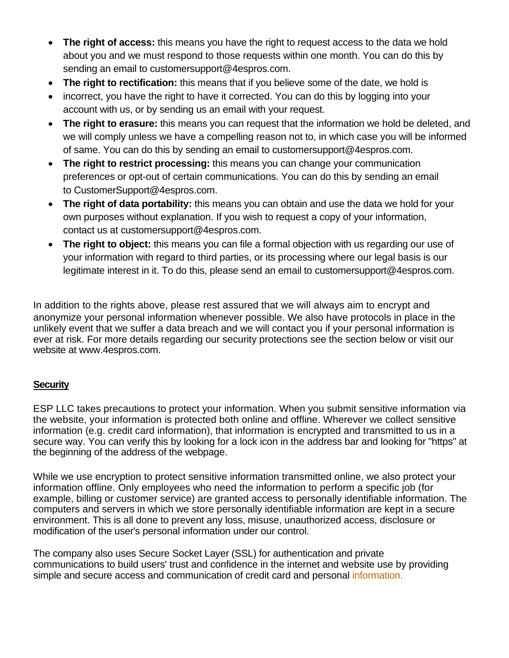- **The right of access:** this means you have the right to request access to the data we hold about you and we must respond to those requests within one month. You can do this by sending an email to customersupport@4espros.com.
- **The right to rectification:** this means that if you believe some of the date, we hold is
- incorrect, you have the right to have it corrected. You can do this by logging into your account with us, or by sending us an email with your request.
- **The right to erasure:** this means you can request that the information we hold be deleted, and we will comply unless we have a compelling reason not to, in which case you will be informed of same. You can do this by sending an email to customersupport@4espros.com.
- **The right to restrict processing:** this means you can change your communication preferences or opt-out of certain communications. You can do this by sending an email to CustomerSupport@4espros.com.
- **The right of data portability:** this means you can obtain and use the data we hold for your own purposes without explanation. If you wish to request a copy of your information, contact us at customersupport@4espros.com.
- **The right to object:** this means you can file a formal objection with us regarding our use of your information with regard to third parties, or its processing where our legal basis is our legitimate interest in it. To do this, please send an email to customersupport@4espros.com.

In addition to the rights above, please rest assured that we will always aim to encrypt and anonymize your personal information whenever possible. We also have protocols in place in the unlikely event that we suffer a data breach and we will contact you if your personal information is ever at risk. For more details regarding our security protections see the section below or visit our website at www.4espros.com.

# **Security**

ESP LLC takes precautions to protect your information. When you submit sensitive information via the website, your information is protected both online and offline. Wherever we collect sensitive information (e.g. credit card information), that information is encrypted and transmitted to us in a secure way. You can verify this by looking for a lock icon in the address bar and looking for "https" at the beginning of the address of the webpage.

While we use encryption to protect sensitive information transmitted online, we also protect your information offline. Only employees who need the information to perform a specific job (for example, billing or customer service) are granted access to personally identifiable information. The computers and servers in which we store personally identifiable information are kept in a secure environment. This is all done to prevent any loss, misuse, unauthorized access, disclosure or modification of the user's personal information under our control.

The company also uses Secure Socket Layer (SSL) for authentication and private communications to build users' trust and confidence in the internet and website use by providing simple and secure access and communication of credit card and personal information.